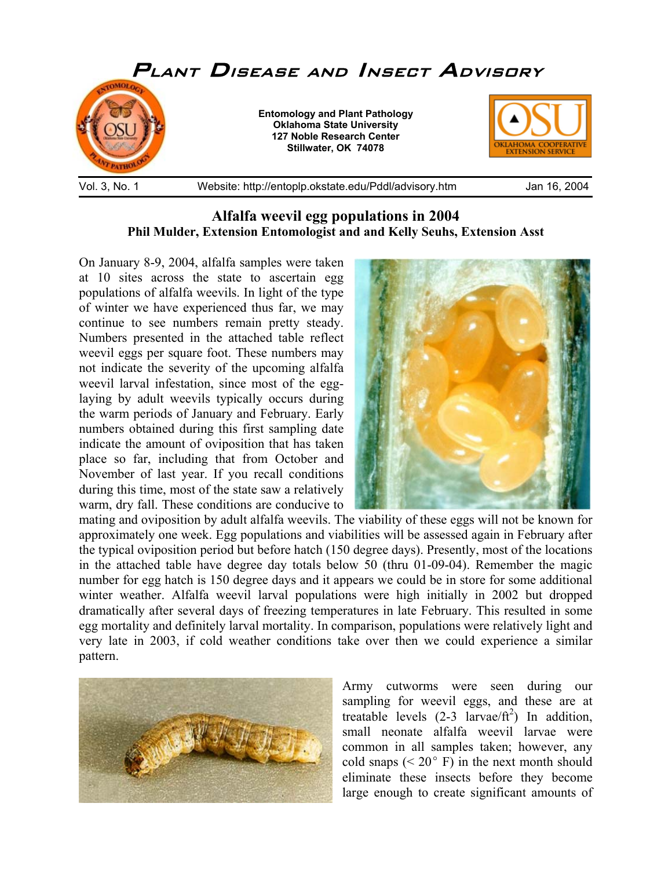

## **Alfalfa weevil egg populations in 2004 Phil Mulder, Extension Entomologist and and Kelly Seuhs, Extension Asst**

On January 8-9, 2004, alfalfa samples were taken at 10 sites across the state to ascertain egg populations of alfalfa weevils. In light of the type of winter we have experienced thus far, we may continue to see numbers remain pretty steady. Numbers presented in the attached table reflect weevil eggs per square foot. These numbers may not indicate the severity of the upcoming alfalfa weevil larval infestation, since most of the egglaying by adult weevils typically occurs during the warm periods of January and February. Early numbers obtained during this first sampling date indicate the amount of oviposition that has taken place so far, including that from October and November of last year. If you recall conditions during this time, most of the state saw a relatively warm, dry fall. These conditions are conducive to



mating and oviposition by adult alfalfa weevils. The viability of these eggs will not be known for approximately one week. Egg populations and viabilities will be assessed again in February after the typical oviposition period but before hatch (150 degree days). Presently, most of the locations in the attached table have degree day totals below 50 (thru 01-09-04). Remember the magic number for egg hatch is 150 degree days and it appears we could be in store for some additional winter weather. Alfalfa weevil larval populations were high initially in 2002 but dropped dramatically after several days of freezing temperatures in late February. This resulted in some egg mortality and definitely larval mortality. In comparison, populations were relatively light and very late in 2003, if cold weather conditions take over then we could experience a similar pattern.



Army cutworms were seen during our sampling for weevil eggs, and these are at treatable levels  $(2-3 \arccos \theta^2)$  In addition, small neonate alfalfa weevil larvae were common in all samples taken; however, any cold snaps ( $\leq 20^{\circ}$  F) in the next month should eliminate these insects before they become large enough to create significant amounts of